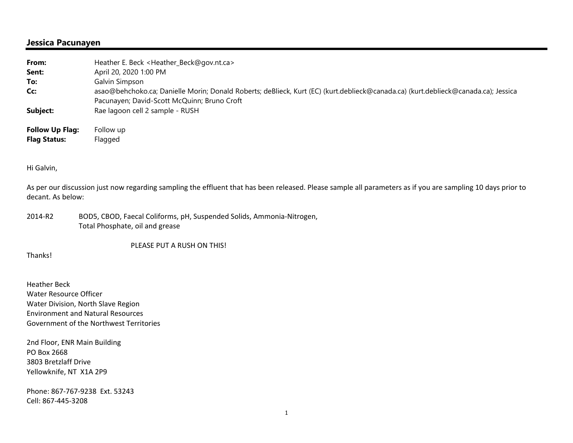## **Jessica Pacunayen**

| From:<br>Sent:         | Heather E. Beck <heather_beck@gov.nt.ca><br/>April 20, 2020 1:00 PM</heather_beck@gov.nt.ca>                                       |
|------------------------|------------------------------------------------------------------------------------------------------------------------------------|
| To:                    | Galvin Simpson                                                                                                                     |
| Cc:                    | asao@behchoko.ca; Danielle Morin; Donald Roberts; deBlieck, Kurt (EC) (kurt.deblieck@canada.ca) (kurt.deblieck@canada.ca); Jessica |
|                        | Pacunayen; David-Scott McQuinn; Bruno Croft                                                                                        |
| Subject:               | Rae lagoon cell 2 sample - RUSH                                                                                                    |
| <b>Follow Up Flag:</b> | Follow up                                                                                                                          |
| <b>Flag Status:</b>    | Flagged                                                                                                                            |

Hi Galvin,

As per our discussion just now regarding sampling the effluent that has been released. Please sample all parameters as if you are sampling 10 days prior to decant. As below:

2014‐R2 BOD5, CBOD, Faecal Coliforms, pH, Suspended Solids, Ammonia‐Nitrogen, Total Phosphate, oil and grease

PLEASE PUT A RUSH ON THIS!

Thanks!

Heather Beck Water Resource Officer Water Division, North Slave Region Environment and Natural Resources Government of the Northwest Territories

2nd Floor, ENR Main Building PO Box 2668 3803 Bretzlaff Drive Yellowknife, NT X1A 2P9

Phone: 867‐767‐9238 Ext. 53243 Cell: 867‐445‐3208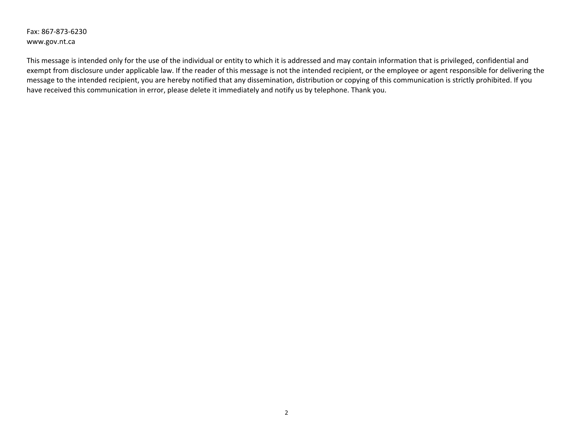Fax: 867‐873‐6230 www.gov.nt.ca

This message is intended only for the use of the individual or entity to which it is addressed and may contain information that is privileged, confidential and exempt from disclosure under applicable law. If the reader of this message is not the intended recipient, or the employee or agent responsible for delivering the message to the intended recipient, you are hereby notified that any dissemination, distribution or copying of this communication is strictly prohibited. If you have received this communication in error, please delete it immediately and notify us by telephone. Thank you.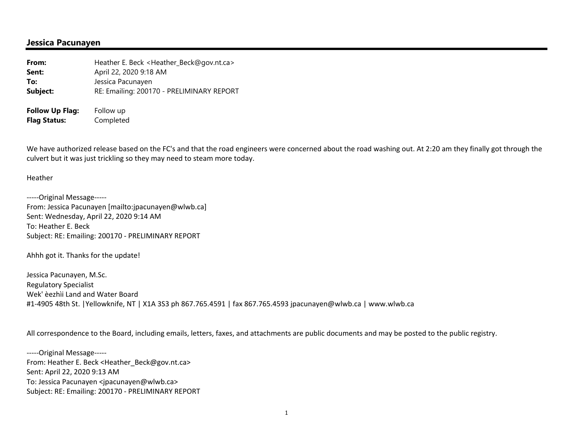### **Jessica Pacunayen**

| From:                  | Heather E. Beck <heather_beck@gov.nt.ca></heather_beck@gov.nt.ca> |
|------------------------|-------------------------------------------------------------------|
| Sent:                  | April 22, 2020 9:18 AM                                            |
| To:                    | Jessica Pacunayen                                                 |
| Subject:               | RE: Emailing: 200170 - PRELIMINARY REPORT                         |
| <b>Follow Up Flag:</b> | Follow up                                                         |
| <b>Flag Status:</b>    | Completed                                                         |

We have authorized release based on the FC's and that the road engineers were concerned about the road washing out. At 2:20 am they finally got through the culvert but it was just trickling so they may need to steam more today.

#### Heather

‐‐‐‐‐Original Message‐‐‐‐‐ From: Jessica Pacunayen [mailto:jpacunayen@wlwb.ca] Sent: Wednesday, April 22, 2020 9:14 AM To: Heather E. Beck Subject: RE: Emailing: 200170 ‐ PRELIMINARY REPORT

Ahhh got it. Thanks for the update!

Jessica Pacunayen, M.Sc. Regulatory Specialist Wek' èezhìi Land and Water Board #1‐4905 48th St. |Yellowknife, NT | X1A 3S3 ph 867.765.4591 | fax 867.765.4593 jpacunayen@wlwb.ca | www.wlwb.ca

All correspondence to the Board, including emails, letters, faxes, and attachments are public documents and may be posted to the public registry.

‐‐‐‐‐Original Message‐‐‐‐‐ From: Heather E. Beck <Heather\_Beck@gov.nt.ca> Sent: April 22, 2020 9:13 AM To: Jessica Pacunayen <jpacunayen@wlwb.ca> Subject: RE: Emailing: 200170 ‐ PRELIMINARY REPORT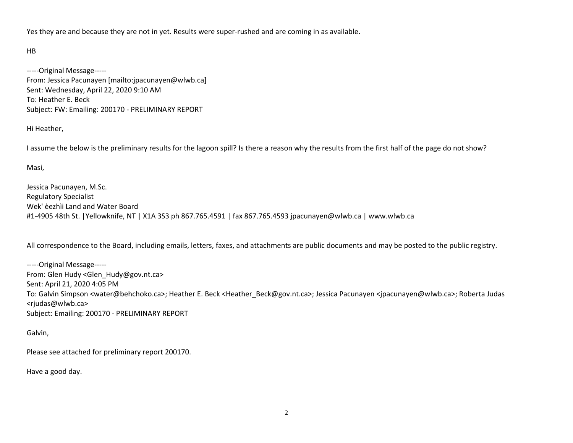Yes they are and because they are not in yet. Results were super-rushed and are coming in as available.

#### HB

‐‐‐‐‐Original Message‐‐‐‐‐ From: Jessica Pacunayen [mailto:jpacunayen@wlwb.ca] Sent: Wednesday, April 22, 2020 9:10 AM To: Heather E. Beck Subject: FW: Emailing: 200170 ‐ PRELIMINARY REPORT

Hi Heather,

I assume the below is the preliminary results for the lagoon spill? Is there a reason why the results from the first half of the page do not show?

Masi,

Jessica Pacunayen, M.Sc. Regulatory Specialist Wek' èezhìi Land and Water Board #1‐4905 48th St. |Yellowknife, NT | X1A 3S3 ph 867.765.4591 | fax 867.765.4593 jpacunayen@wlwb.ca | www.wlwb.ca

All correspondence to the Board, including emails, letters, faxes, and attachments are public documents and may be posted to the public registry.

‐‐‐‐‐Original Message‐‐‐‐‐ From: Glen Hudy <Glen\_Hudy@gov.nt.ca> Sent: April 21, 2020 4:05 PM To: Galvin Simpson <water@behchoko.ca>; Heather E. Beck <Heather\_Beck@gov.nt.ca>; Jessica Pacunayen <jpacunayen@wlwb.ca>; Roberta Judas <rjudas@wlwb.ca> Subject: Emailing: 200170 ‐ PRELIMINARY REPORT

Galvin,

Please see attached for preliminary report 200170.

Have a good day.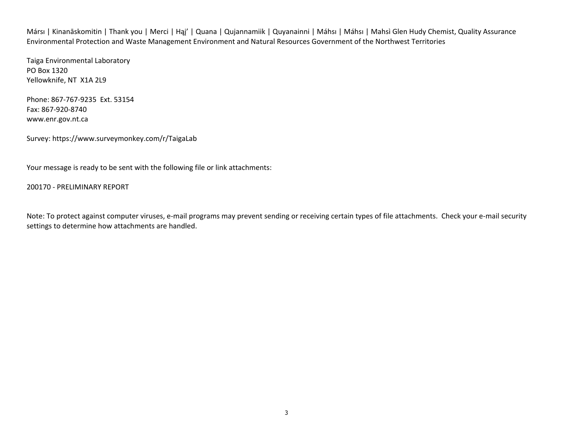Mársı | Kinanāskomitin | Thank you | Merci | Hąj' | Quana | Qujannamiik | Quyanainni | Máhsı | Máhsı | Mahsì Glen Hudy Chemist, Quality Assurance Environmental Protection and Waste Management Environment and Natural Resources Government of the Northwest Territories

Taiga Environmental Laboratory PO Box 1320 Yellowknife, NT X1A 2L9

Phone: 867‐767‐9235 Ext. 53154 Fax: 867‐920‐8740 www.enr.gov.nt.ca

Survey: https://www.surveymonkey.com/r/TaigaLab

Your message is ready to be sent with the following file or link attachments:

200170 ‐ PRELIMINARY REPORT

Note: To protect against computer viruses, e-mail programs may prevent sending or receiving certain types of file attachments. Check your e-mail security settings to determine how attachments are handled.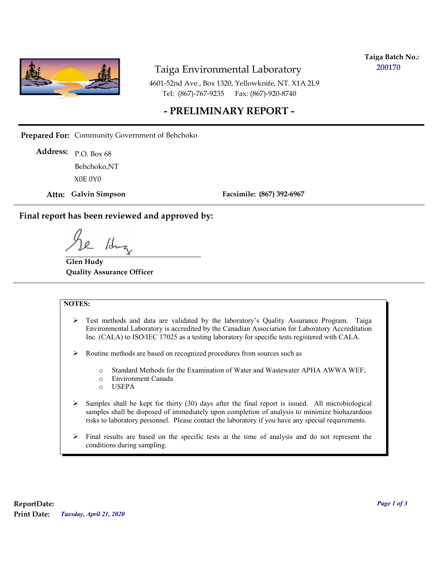

**Taiga Batch No.: 200170**

4601-52nd Ave., Box 1320, Yellowknife, NT. X1A 2L9 Tel: (867)-767-9235 Fax: (867)-920-8740

## **- PRELIMINARY REPORT -**

**Prepared For:** Community Government of Behchoko

P.O. Box 68 **Address:** X0E 0Y0 Behchoko,NT

**Attn: Galvin Simpson**

**Facsimile: (867) 392-6967**

#### **Final report has been reviewed and approved by:**

1dr

**Glen Hudy Quality Assurance Officer**

#### **NOTES:**

- $\triangleright$  Test methods and data are validated by the laboratory's Quality Assurance Program. Taiga Environmental Laboratory is accredited by the Canadian Association for Laboratory Accreditation Inc. (CALA) to ISO/IEC 17025 as a testing laboratory for specific tests registered with CALA.
- Routine methods are based on recognized procedures from sources such as
	- o Standard Methods for the Examination of Water and Wastewater APHA AWWA WEF;
	- o Environment Canada
	- o USEPA
- $\triangleright$  Samples shall be kept for thirty (30) days after the final report is issued. All microbiological samples shall be disposed of immediately upon completion of analysis to minimize biohazardous risks to laboratory personnel. Please contact the laboratory if you have any special requirements.
- $\triangleright$  Final results are based on the specific tests at the time of analysis and do not represent the conditions during sampling.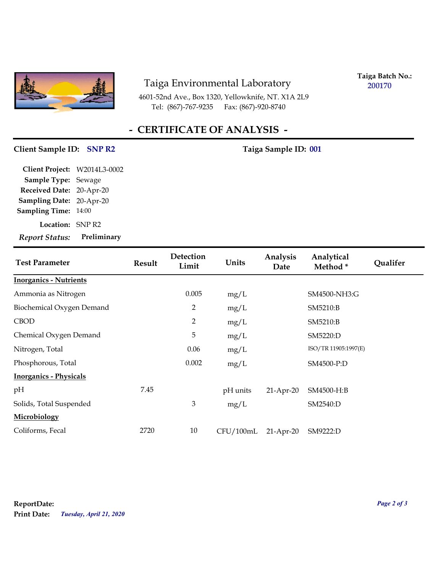

4601-52nd Ave., Box 1320, Yellowknife, NT. X1A 2L9 Tel: (867)-767-9235 Fax: (867)-920-8740

**Taiga Batch No.: 200170**

# **- CERTIFICATE OF ANALYSIS -**

## **Client Sample ID:** SNP R2 Taiga Sample ID: 001

**Location:** SNP R2 **Sampling Date:** 20-Apr-20 **Received Date:** 20-Apr-20 **Client Project:** W2014L3-0002 **Sample Type:** Sewage **Sampling Time:** 14:00 *Report Status:* **Preliminary**

| <b>Test Parameter</b>         | <b>Result</b> | Detection<br>Limit | Units     | Analysis<br>Date | Analytical<br>Method* | <b>Qualifer</b> |
|-------------------------------|---------------|--------------------|-----------|------------------|-----------------------|-----------------|
| <b>Inorganics - Nutrients</b> |               |                    |           |                  |                       |                 |
| Ammonia as Nitrogen           |               | 0.005              | mg/L      |                  | SM4500-NH3:G          |                 |
| Biochemical Oxygen Demand     |               | 2                  | mg/L      |                  | SM5210:B              |                 |
| <b>CBOD</b>                   |               | $\overline{2}$     | mg/L      |                  | SM5210:B              |                 |
| Chemical Oxygen Demand        |               | 5                  | mg/L      |                  | SM5220:D              |                 |
| Nitrogen, Total               |               | 0.06               | mg/L      |                  | ISO/TR 11905:1997(E)  |                 |
| Phosphorous, Total            |               | 0.002              | mg/L      |                  | SM4500-P:D            |                 |
| <b>Inorganics - Physicals</b> |               |                    |           |                  |                       |                 |
| pH                            | 7.45          |                    | pH units  | $21-Apr-20$      | SM4500-H:B            |                 |
| Solids, Total Suspended       |               | $\mathfrak{Z}$     | mg/L      |                  | SM2540:D              |                 |
| Microbiology                  |               |                    |           |                  |                       |                 |
| Coliforms, Fecal              | 2720          | 10                 | CFU/100mL | $21-Apr-20$      | SM9222:D              |                 |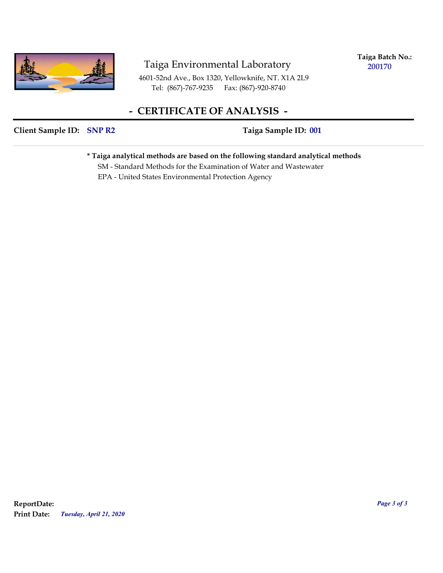

**Taiga Batch No.: 200170**

4601-52nd Ave., Box 1320, Yellowknife, NT. X1A 2L9 Tel: (867)-767-9235 Fax: (867)-920-8740

# **- CERTIFICATE OF ANALYSIS -**

### **Client Sample ID: SNP R2** Taiga Sample ID: 001

**\* Taiga analytical methods are based on the following standard analytical methods**

 SM - Standard Methods for the Examination of Water and Wastewater EPA - United States Environmental Protection Agency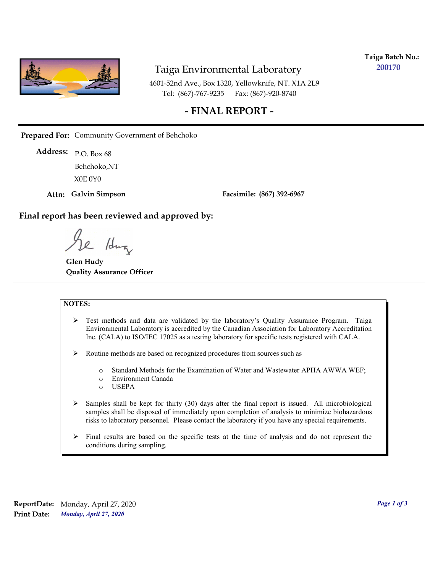

**Taiga Batch No.: 200170**

4601-52nd Ave., Box 1320, Yellowknife, NT. X1A 2L9 Tel: (867)-767-9235 Fax: (867)-920-8740

## **- FINAL REPORT -**

**Prepared For:** Community Government of Behchoko

P.O. Box 68 **Address:** X0E 0Y0 Behchoko,NT

**Attn: Galvin Simpson**

**Facsimile: (867) 392-6967**

**Final report has been reviewed and approved by:**

/dr

**Glen Hudy Quality Assurance Officer**

#### **NOTES:**

- $\triangleright$  Test methods and data are validated by the laboratory's Quality Assurance Program. Taiga Environmental Laboratory is accredited by the Canadian Association for Laboratory Accreditation Inc. (CALA) to ISO/IEC 17025 as a testing laboratory for specific tests registered with CALA.
- Routine methods are based on recognized procedures from sources such as
	- o Standard Methods for the Examination of Water and Wastewater APHA AWWA WEF;
	- o Environment Canada
	- o USEPA
- $\triangleright$  Samples shall be kept for thirty (30) days after the final report is issued. All microbiological samples shall be disposed of immediately upon completion of analysis to minimize biohazardous risks to laboratory personnel. Please contact the laboratory if you have any special requirements.
- $\triangleright$  Final results are based on the specific tests at the time of analysis and do not represent the conditions during sampling.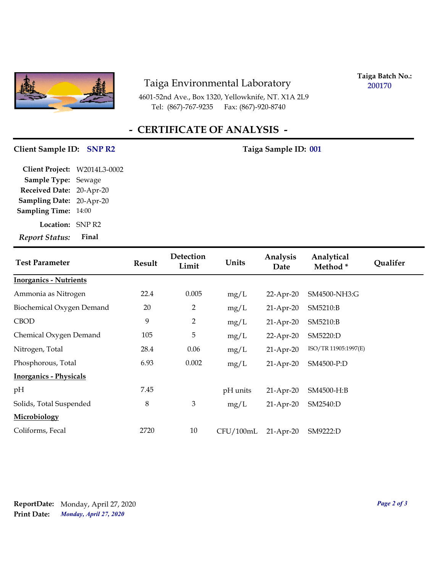

4601-52nd Ave., Box 1320, Yellowknife, NT. X1A 2L9 Tel: (867)-767-9235 Fax: (867)-920-8740

**Taiga Batch No.: 200170**

# **- CERTIFICATE OF ANALYSIS -**

## Client Sample ID: SNP R2 Taiga Sample ID: 001

| Client Project: W2014L3-0002 |       |
|------------------------------|-------|
| Sample Type: Sewage          |       |
| Received Date: 20-Apr-20     |       |
| Sampling Date: 20-Apr-20     |       |
| Sampling Time: 14:00         |       |
| Location: SNP R2             |       |
| <b>Report Status:</b>        | Final |

| <b>Test Parameter</b>         | <b>Result</b> | Detection<br>Limit | Units     | Analysis<br>Date | Analytical<br>Method* | <b>Qualifer</b> |
|-------------------------------|---------------|--------------------|-----------|------------------|-----------------------|-----------------|
| <b>Inorganics - Nutrients</b> |               |                    |           |                  |                       |                 |
| Ammonia as Nitrogen           | 22.4          | 0.005              | mg/L      | 22-Apr-20        | SM4500-NH3:G          |                 |
| Biochemical Oxygen Demand     | 20            | 2                  | mg/L      | $21-Apr-20$      | SM5210:B              |                 |
| <b>CBOD</b>                   | 9             | 2                  | mg/L      | $21-Apr-20$      | SM5210:B              |                 |
| Chemical Oxygen Demand        | 105           | 5                  | mg/L      | $22$ -Apr-20     | SM5220:D              |                 |
| Nitrogen, Total               | 28.4          | 0.06               | mg/L      | $21$ -Apr-20     | ISO/TR 11905:1997(E)  |                 |
| Phosphorous, Total            | 6.93          | 0.002              | mg/L      | $21-Apr-20$      | SM4500-P:D            |                 |
| <b>Inorganics - Physicals</b> |               |                    |           |                  |                       |                 |
| pH                            | 7.45          |                    | pH units  | $21-Apr-20$      | SM4500-H:B            |                 |
| Solids, Total Suspended       | 8             | 3                  | mg/L      | $21-Apr-20$      | SM2540:D              |                 |
| Microbiology                  |               |                    |           |                  |                       |                 |
| Coliforms, Fecal              | 2720          | 10                 | CFU/100mL | $21-Apr-20$      | SM9222:D              |                 |